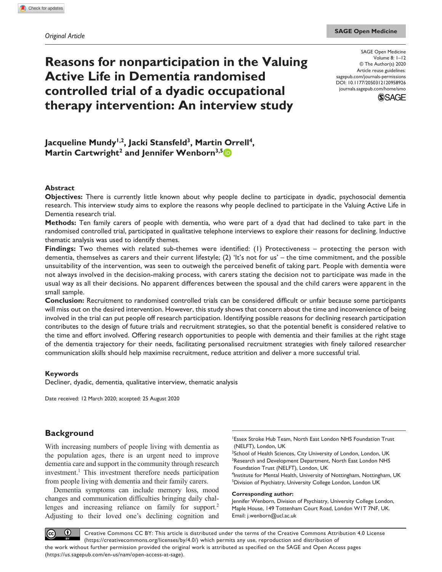# **Reasons for nonparticipation in the Valuing Active Life in Dementia randomised controlled trial of a dyadic occupational therapy intervention: An interview study**

DOI: 10.1177/2050312120958926 SAGE Open Medicine Volume 8: 1–12 © The Author(s) 2020 Article reuse guidelines: [sagepub.com/journals-permissions](https://uk.sagepub.com/en-gb/journals-permissions) [journals.sagepub.com/home/smo](https://journals.sagepub.com/home/smo)



Jacqueline Mundy<sup>1,2</sup>, Jacki Stansfeld<sup>3</sup>, Martin Orrell<sup>4</sup>, **Martin Cartwright<sup>2</sup> and Jennifer Wenborn<sup>3,5</sup><sup>1</sup>** 

### **Abstract**

**Objectives:** There is currently little known about why people decline to participate in dyadic, psychosocial dementia research. This interview study aims to explore the reasons why people declined to participate in the Valuing Active Life in Dementia research trial.

**Methods:** Ten family carers of people with dementia, who were part of a dyad that had declined to take part in the randomised controlled trial, participated in qualitative telephone interviews to explore their reasons for declining. Inductive thematic analysis was used to identify themes.

**Findings:** Two themes with related sub-themes were identified: (1) Protectiveness – protecting the person with dementia, themselves as carers and their current lifestyle; (2) 'It's not for us' – the time commitment, and the possible unsuitability of the intervention, was seen to outweigh the perceived benefit of taking part. People with dementia were not always involved in the decision-making process, with carers stating the decision not to participate was made in the usual way as all their decisions. No apparent differences between the spousal and the child carers were apparent in the small sample.

**Conclusion:** Recruitment to randomised controlled trials can be considered difficult or unfair because some participants will miss out on the desired intervention. However, this study shows that concern about the time and inconvenience of being involved in the trial can put people off research participation. Identifying possible reasons for declining research participation contributes to the design of future trials and recruitment strategies, so that the potential benefit is considered relative to the time and effort involved. Offering research opportunities to people with dementia and their families at the right stage of the dementia trajectory for their needs, facilitating personalised recruitment strategies with finely tailored researcher communication skills should help maximise recruitment, reduce attrition and deliver a more successful trial.

### **Keywords**

Decliner, dyadic, dementia, qualitative interview, thematic analysis

Date received: 12 March 2020; accepted: 25 August 2020

# **Background**

With increasing numbers of people living with dementia as the population ages, there is an urgent need to improve dementia care and support in the community through research investment.<sup>1</sup> This investment therefore needs participation from people living with dementia and their family carers.

Dementia symptoms can include memory loss, mood changes and communication difficulties bringing daily challenges and increasing reliance on family for support.<sup>2</sup> Adjusting to their loved one's declining cognition and

1 Essex Stroke Hub Team, North East London NHS Foundation Trust (NELFT), London, UK

<sup>2</sup>School of Health Sciences, City University of London, London, UK <sup>3</sup>Research and Development Department, North East London NHS Foundation Trust (NELFT), London, UK

4 Institute for Mental Health, University of Nottingham, Nottingham, UK <sup>5</sup>Division of Psychiatry, University College London, London UK

#### **Corresponding author:**

Jennifer Wenborn, Division of Psychiatry, University College London, Maple House, 149 Tottenham Court Road, London W1T 7NF, UK. Email: [j.wenborn@ucl.ac.uk](mailto:j.wenborn@ucl.ac.uk)

 $\odot$  $(c)$ Creative Commons CC BY: This article is distributed under the terms of the Creative Commons Attribution 4.0 License (https://creativecommons.org/licenses/by/4.0/) which permits any use, reproduction and distribution of the work without further permission provided the original work is attributed as specified on the SAGE and Open Access pages (https://us.sagepub.com/en-us/nam/open-access-at-sage).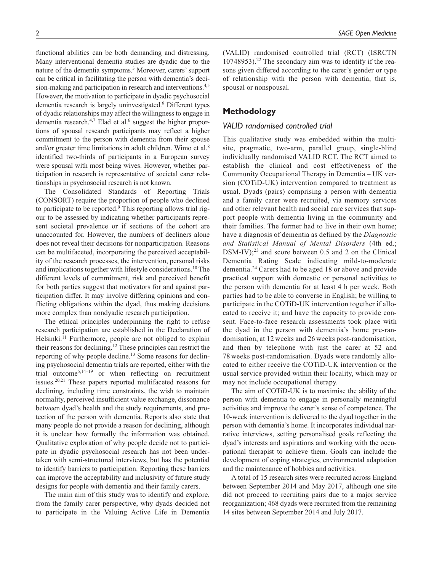functional abilities can be both demanding and distressing. Many interventional dementia studies are dyadic due to the nature of the dementia symptoms.<sup>3</sup> Moreover, carers' support can be critical in facilitating the person with dementia's decision-making and participation in research and interventions.<sup>4,5</sup> However, the motivation to participate in dyadic psychosocial dementia research is largely uninvestigated.<sup>6</sup> Different types of dyadic relationships may affect the willingness to engage in dementia research. $4,7$  Elad et al.<sup>6</sup> suggest the higher proportions of spousal research participants may reflect a higher commitment to the person with dementia from their spouse and/or greater time limitations in adult children. Wimo et al.<sup>8</sup> identified two-thirds of participants in a European survey were spousal with most being wives. However, whether participation in research is representative of societal carer relationships in psychosocial research is not known.

The Consolidated Standards of Reporting Trials (CONSORT) require the proportion of people who declined to participate to be reported.<sup>9</sup> This reporting allows trial rigour to be assessed by indicating whether participants represent societal prevalence or if sections of the cohort are unaccounted for. However, the numbers of decliners alone does not reveal their decisions for nonparticipation. Reasons can be multifaceted, incorporating the perceived acceptability of the research processes, the intervention, personal risks and implications together with lifestyle considerations.10 The different levels of commitment, risk and perceived benefit for both parties suggest that motivators for and against participation differ. It may involve differing opinions and conflicting obligations within the dyad, thus making decisions more complex than nondyadic research participation.

The ethical principles underpinning the right to refuse research participation are established in the Declaration of Helsinki.<sup>11</sup> Furthermore, people are not obliged to explain their reasons for declining.12 These principles can restrict the reporting of why people decline.13 Some reasons for declining psychosocial dementia trials are reported, either with the trial outcome<sup>5,14–19</sup> or when reflecting on recruitment issues.20,21 These papers reported multifaceted reasons for declining, including time constraints, the wish to maintain normality, perceived insufficient value exchange, dissonance between dyad's health and the study requirements, and protection of the person with dementia. Reports also state that many people do not provide a reason for declining, although it is unclear how formally the information was obtained. Qualitative exploration of why people decide not to participate in dyadic psychosocial research has not been undertaken with semi-structured interviews, but has the potential to identify barriers to participation. Reporting these barriers can improve the acceptability and inclusivity of future study designs for people with dementia and their family carers.

The main aim of this study was to identify and explore, from the family carer perspective, why dyads decided not to participate in the Valuing Active Life in Dementia (VALID) randomised controlled trial (RCT) (ISRCTN 10748953).22 The secondary aim was to identify if the reasons given differed according to the carer's gender or type of relationship with the person with dementia, that is, spousal or nonspousal.

# **Methodology**

## *VALID randomised controlled trial*

This qualitative study was embedded within the multisite, pragmatic, two-arm, parallel group, single-blind individually randomised VALID RCT. The RCT aimed to establish the clinical and cost effectiveness of the Community Occupational Therapy in Dementia – UK version (COTiD-UK) intervention compared to treatment as usual. Dyads (pairs) comprising a person with dementia and a family carer were recruited, via memory services and other relevant health and social care services that support people with dementia living in the community and their families. The former had to live in their own home; have a diagnosis of dementia as defined by the *Diagnostic and Statistical Manual of Mental Disorders* (4th ed.;  $DSM-IV$ ;<sup>23</sup> and score between 0.5 and 2 on the Clinical Dementia Rating Scale indicating mild-to-moderate dementia.24 Carers had to be aged 18 or above and provide practical support with domestic or personal activities to the person with dementia for at least 4 h per week. Both parties had to be able to converse in English; be willing to participate in the COTiD-UK intervention together if allocated to receive it; and have the capacity to provide consent. Face-to-face research assessments took place with the dyad in the person with dementia's home pre-randomisation, at 12 weeks and 26 weeks post-randomisation, and then by telephone with just the carer at 52 and 78 weeks post-randomisation. Dyads were randomly allocated to either receive the COTiD-UK intervention or the usual service provided within their locality, which may or may not include occupational therapy.

The aim of COTiD-UK is to maximise the ability of the person with dementia to engage in personally meaningful activities and improve the carer's sense of competence. The 10-week intervention is delivered to the dyad together in the person with dementia's home. It incorporates individual narrative interviews, setting personalised goals reflecting the dyad's interests and aspirations and working with the occupational therapist to achieve them. Goals can include the development of coping strategies, environmental adaptation and the maintenance of hobbies and activities.

A total of 15 research sites were recruited across England between September 2014 and May 2017, although one site did not proceed to recruiting pairs due to a major service reorganization; 468 dyads were recruited from the remaining 14 sites between September 2014 and July 2017.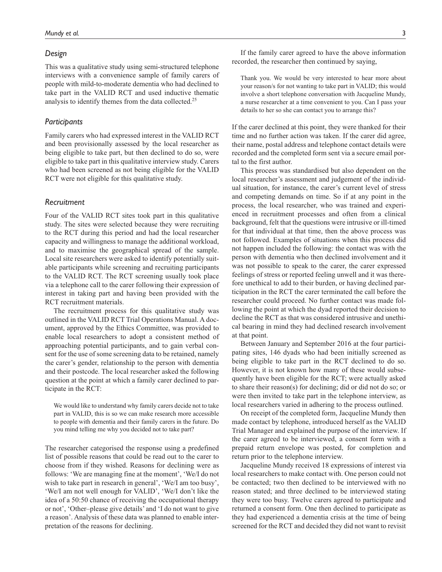### *Design*

This was a qualitative study using semi-structured telephone interviews with a convenience sample of family carers of people with mild-to-moderate dementia who had declined to take part in the VALID RCT and used inductive thematic analysis to identify themes from the data collected.<sup>25</sup>

### *Participants*

Family carers who had expressed interest in the VALID RCT and been provisionally assessed by the local researcher as being eligible to take part, but then declined to do so, were eligible to take part in this qualitative interview study. Carers who had been screened as not being eligible for the VALID RCT were not eligible for this qualitative study.

# *Recruitment*

Four of the VALID RCT sites took part in this qualitative study. The sites were selected because they were recruiting to the RCT during this period and had the local researcher capacity and willingness to manage the additional workload, and to maximise the geographical spread of the sample. Local site researchers were asked to identify potentially suitable participants while screening and recruiting participants to the VALID RCT. The RCT screening usually took place via a telephone call to the carer following their expression of interest in taking part and having been provided with the RCT recruitment materials.

The recruitment process for this qualitative study was outlined in the VALID RCT Trial Operations Manual. A document, approved by the Ethics Committee, was provided to enable local researchers to adopt a consistent method of approaching potential participants, and to gain verbal consent for the use of some screening data to be retained, namely the carer's gender, relationship to the person with dementia and their postcode. The local researcher asked the following question at the point at which a family carer declined to participate in the RCT:

We would like to understand why family carers decide not to take part in VALID, this is so we can make research more accessible to people with dementia and their family carers in the future. Do you mind telling me why you decided not to take part?

The researcher categorised the response using a predefined list of possible reasons that could be read out to the carer to choose from if they wished. Reasons for declining were as follows: 'We are managing fine at the moment', 'We/I do not wish to take part in research in general', 'We/I am too busy', 'We/I am not well enough for VALID', 'We/I don't like the idea of a 50:50 chance of receiving the occupational therapy or not', 'Other–please give details' and 'I do not want to give a reason'. Analysis of these data was planned to enable interpretation of the reasons for declining.

If the family carer agreed to have the above information recorded, the researcher then continued by saying,

Thank you. We would be very interested to hear more about your reason/s for not wanting to take part in VALID; this would involve a short telephone conversation with Jacqueline Mundy, a nurse researcher at a time convenient to you. Can I pass your details to her so she can contact you to arrange this?

If the carer declined at this point, they were thanked for their time and no further action was taken. If the carer did agree, their name, postal address and telephone contact details were recorded and the completed form sent via a secure email portal to the first author.

This process was standardised but also dependent on the local researcher's assessment and judgement of the individual situation, for instance, the carer's current level of stress and competing demands on time. So if at any point in the process, the local researcher, who was trained and experienced in recruitment processes and often from a clinical background, felt that the questions were intrusive or ill-timed for that individual at that time, then the above process was not followed. Examples of situations when this process did not happen included the following: the contact was with the person with dementia who then declined involvement and it was not possible to speak to the carer, the carer expressed feelings of stress or reported feeling unwell and it was therefore unethical to add to their burden, or having declined participation in the RCT the carer terminated the call before the researcher could proceed. No further contact was made following the point at which the dyad reported their decision to decline the RCT as that was considered intrusive and unethical bearing in mind they had declined research involvement at that point.

Between January and September 2016 at the four participating sites, 146 dyads who had been initially screened as being eligible to take part in the RCT declined to do so. However, it is not known how many of these would subsequently have been eligible for the RCT; were actually asked to share their reason(s) for declining; did or did not do so; or were then invited to take part in the telephone interview, as local researchers varied in adhering to the process outlined.

On receipt of the completed form, Jacqueline Mundy then made contact by telephone, introduced herself as the VALID Trial Manager and explained the purpose of the interview. If the carer agreed to be interviewed, a consent form with a prepaid return envelope was posted, for completion and return prior to the telephone interview.

Jacqueline Mundy received 18 expressions of interest via local researchers to make contact with. One person could not be contacted; two then declined to be interviewed with no reason stated; and three declined to be interviewed stating they were too busy. Twelve carers agreed to participate and returned a consent form. One then declined to participate as they had experienced a dementia crisis at the time of being screened for the RCT and decided they did not want to revisit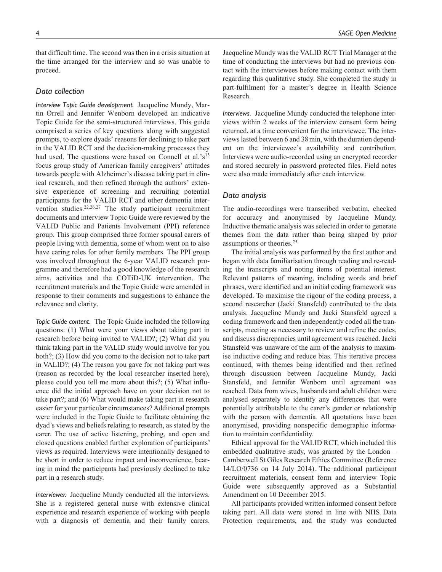that difficult time. The second was then in a crisis situation at the time arranged for the interview and so was unable to proceed.

### *Data collection*

*Interview Topic Guide development.* Jacqueline Mundy, Martin Orrell and Jennifer Wenborn developed an indicative Topic Guide for the semi-structured interviews. This guide comprised a series of key questions along with suggested prompts, to explore dyads' reasons for declining to take part in the VALID RCT and the decision-making processes they had used. The questions were based on Connell et al.'s<sup>13</sup> focus group study of American family caregivers' attitudes towards people with Alzheimer's disease taking part in clinical research, and then refined through the authors' extensive experience of screening and recruiting potential participants for the VALID RCT and other dementia intervention studies.<sup>22,26,27</sup> The study participant recruitment documents and interview Topic Guide were reviewed by the VALID Public and Patients Involvement (PPI) reference group. This group comprised three former spousal carers of people living with dementia, some of whom went on to also have caring roles for other family members. The PPI group was involved throughout the 6-year VALID research programme and therefore had a good knowledge of the research aims, activities and the COTiD-UK intervention. The recruitment materials and the Topic Guide were amended in response to their comments and suggestions to enhance the relevance and clarity.

*Topic Guide content.* The Topic Guide included the following questions: (1) What were your views about taking part in research before being invited to VALID?; (2) What did you think taking part in the VALID study would involve for you both?; (3) How did you come to the decision not to take part in VALID?; (4) The reason you gave for not taking part was (reason as recorded by the local researcher inserted here), please could you tell me more about this?; (5) What influence did the initial approach have on your decision not to take part?; and (6) What would make taking part in research easier for your particular circumstances? Additional prompts were included in the Topic Guide to facilitate obtaining the dyad's views and beliefs relating to research, as stated by the carer. The use of active listening, probing, and open and closed questions enabled further exploration of participants' views as required. Interviews were intentionally designed to be short in order to reduce impact and inconvenience, bearing in mind the participants had previously declined to take part in a research study.

*Interviewer.* Jacqueline Mundy conducted all the interviews. She is a registered general nurse with extensive clinical experience and research experience of working with people with a diagnosis of dementia and their family carers. Jacqueline Mundy was the VALID RCT Trial Manager at the time of conducting the interviews but had no previous contact with the interviewees before making contact with them regarding this qualitative study. She completed the study in part-fulfilment for a master's degree in Health Science Research.

*Interviews.* Jacqueline Mundy conducted the telephone interviews within 2 weeks of the interview consent form being returned, at a time convenient for the interviewee. The interviews lasted between 6 and 38min, with the duration dependent on the interviewee's availability and contribution. Interviews were audio-recorded using an encrypted recorder and stored securely in password protected files. Field notes were also made immediately after each interview.

### *Data analysis*

The audio-recordings were transcribed verbatim, checked for accuracy and anonymised by Jacqueline Mundy. Inductive thematic analysis was selected in order to generate themes from the data rather than being shaped by prior assumptions or theories.25

The initial analysis was performed by the first author and began with data familiarisation through reading and re-reading the transcripts and noting items of potential interest. Relevant patterns of meaning, including words and brief phrases, were identified and an initial coding framework was developed. To maximise the rigour of the coding process, a second researcher (Jacki Stansfeld) contributed to the data analysis. Jacqueline Mundy and Jacki Stansfeld agreed a coding framework and then independently coded all the transcripts, meeting as necessary to review and refine the codes, and discuss discrepancies until agreement was reached. Jacki Stansfeld was unaware of the aim of the analysis to maximise inductive coding and reduce bias. This iterative process continued, with themes being identified and then refined through discussion between Jacqueline Mundy, Jacki Stansfeld, and Jennifer Wenborn until agreement was reached. Data from wives, husbands and adult children were analysed separately to identify any differences that were potentially attributable to the carer's gender or relationship with the person with dementia. All quotations have been anonymised, providing nonspecific demographic information to maintain confidentiality.

Ethical approval for the VALID RCT, which included this embedded qualitative study, was granted by the London – Camberwell St Giles Research Ethics Committee (Reference 14/LO/0736 on 14 July 2014). The additional participant recruitment materials, consent form and interview Topic Guide were subsequently approved as a Substantial Amendment on 10 December 2015.

All participants provided written informed consent before taking part. All data were stored in line with NHS Data Protection requirements, and the study was conducted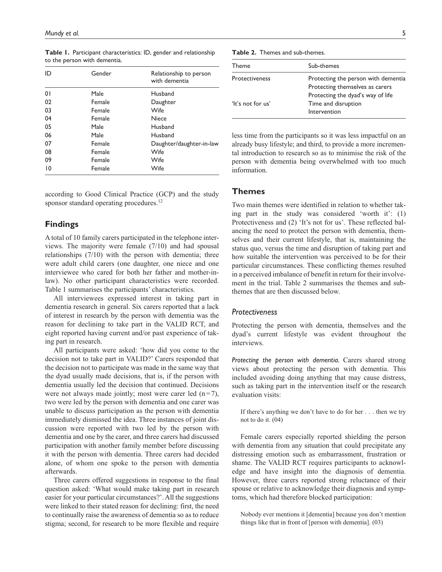| ID | Gender | Relationship to person<br>with dementia |
|----|--------|-----------------------------------------|
| 01 | Male   | Husband                                 |
| 02 | Female | Daughter                                |
| 03 | Female | <b>Wife</b>                             |
| 04 | Female | Niece                                   |
| 05 | Male   | Husband                                 |
| 06 | Male   | Husband                                 |
| 07 | Female | Daughter/daughter-in-law                |
| 08 | Female | Wife                                    |
| 09 | Female | Wife                                    |
| 10 | Female | Wife                                    |

**Table 1.** Participant characteristics: ID, gender and relationship to the person with dementia.

according to Good Clinical Practice (GCP) and the study sponsor standard operating procedures.<sup>12</sup>

# **Findings**

A total of 10 family carers participated in the telephone interviews. The majority were female (7/10) and had spousal relationships (7/10) with the person with dementia; three were adult child carers (one daughter, one niece and one interviewee who cared for both her father and mother-inlaw). No other participant characteristics were recorded. Table 1 summarises the participants' characteristics.

All interviewees expressed interest in taking part in dementia research in general. Six carers reported that a lack of interest in research by the person with dementia was the reason for declining to take part in the VALID RCT, and eight reported having current and/or past experience of taking part in research.

All participants were asked: 'how did you come to the decision not to take part in VALID?' Carers responded that the decision not to participate was made in the same way that the dyad usually made decisions, that is, if the person with dementia usually led the decision that continued. Decisions were not always made jointly; most were carer led  $(n=7)$ , two were led by the person with dementia and one carer was unable to discuss participation as the person with dementia immediately dismissed the idea. Three instances of joint discussion were reported with two led by the person with dementia and one by the carer, and three carers had discussed participation with another family member before discussing it with the person with dementia. Three carers had decided alone, of whom one spoke to the person with dementia afterwards.

Three carers offered suggestions in response to the final question asked: 'What would make taking part in research easier for your particular circumstances?'. All the suggestions were linked to their stated reason for declining: first, the need to continually raise the awareness of dementia so as to reduce stigma; second, for research to be more flexible and require

| Theme                 | Sub-themes                          |
|-----------------------|-------------------------------------|
| <b>Protectiveness</b> | Protecting the person with dementia |
|                       | Protecting themselves as carers     |
|                       | Protecting the dyad's way of life   |
| 'It's not for us'     | Time and disruption                 |
|                       | Intervention                        |
|                       |                                     |

less time from the participants so it was less impactful on an already busy lifestyle; and third, to provide a more incremental introduction to research so as to minimise the risk of the person with dementia being overwhelmed with too much information.

# **Themes**

Two main themes were identified in relation to whether taking part in the study was considered 'worth it': (1) Protectiveness and (2) 'It's not for us'. These reflected balancing the need to protect the person with dementia, themselves and their current lifestyle, that is, maintaining the status quo, versus the time and disruption of taking part and how suitable the intervention was perceived to be for their particular circumstances. These conflicting themes resulted in a perceived imbalance of benefit in return for their involvement in the trial. Table 2 summarises the themes and subthemes that are then discussed below.

### *Protectiveness*

Protecting the person with dementia, themselves and the dyad's current lifestyle was evident throughout the interviews.

*Protecting the person with dementia.* Carers shared strong views about protecting the person with dementia. This included avoiding doing anything that may cause distress, such as taking part in the intervention itself or the research evaluation visits:

If there's anything we don't have to do for her . . . then we try not to do it. (04)

Female carers especially reported shielding the person with dementia from any situation that could precipitate any distressing emotion such as embarrassment, frustration or shame. The VALID RCT requires participants to acknowledge and have insight into the diagnosis of dementia. However, three carers reported strong reluctance of their spouse or relative to acknowledge their diagnosis and symptoms, which had therefore blocked participation:

Nobody ever mentions it [dementia] because you don't mention things like that in front of [person with dementia]. (03)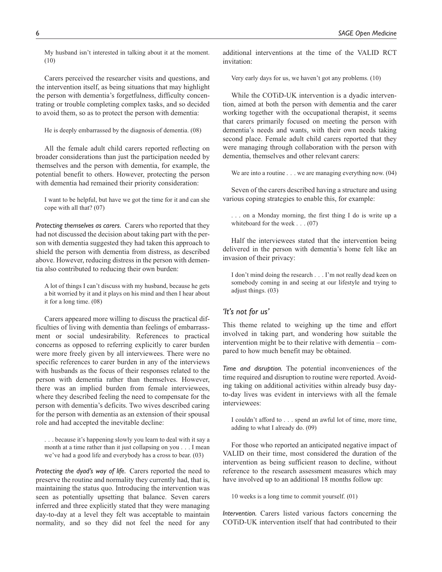My husband isn't interested in talking about it at the moment. (10)

Carers perceived the researcher visits and questions, and the intervention itself, as being situations that may highlight the person with dementia's forgetfulness, difficulty concentrating or trouble completing complex tasks, and so decided to avoid them, so as to protect the person with dementia:

He is deeply embarrassed by the diagnosis of dementia. (08)

All the female adult child carers reported reflecting on broader considerations than just the participation needed by themselves and the person with dementia, for example, the potential benefit to others. However, protecting the person with dementia had remained their priority consideration:

I want to be helpful, but have we got the time for it and can she cope with all that? (07)

*Protecting themselves as carers.* Carers who reported that they had not discussed the decision about taking part with the person with dementia suggested they had taken this approach to shield the person with dementia from distress, as described above. However, reducing distress in the person with dementia also contributed to reducing their own burden:

A lot of things I can't discuss with my husband, because he gets a bit worried by it and it plays on his mind and then I hear about it for a long time. (08)

Carers appeared more willing to discuss the practical difficulties of living with dementia than feelings of embarrassment or social undesirability. References to practical concerns as opposed to referring explicitly to carer burden were more freely given by all interviewees. There were no specific references to carer burden in any of the interviews with husbands as the focus of their responses related to the person with dementia rather than themselves. However, there was an implied burden from female interviewees, where they described feeling the need to compensate for the person with dementia's deficits. Two wives described caring for the person with dementia as an extension of their spousal role and had accepted the inevitable decline:

. . . because it's happening slowly you learn to deal with it say a month at a time rather than it just collapsing on you . . . I mean we've had a good life and everybody has a cross to bear. (03)

*Protecting the dyad's way of life.* Carers reported the need to preserve the routine and normality they currently had, that is, maintaining the status quo. Introducing the intervention was seen as potentially upsetting that balance. Seven carers inferred and three explicitly stated that they were managing day-to-day at a level they felt was acceptable to maintain normality, and so they did not feel the need for any

additional interventions at the time of the VALID RCT invitation:

Very early days for us, we haven't got any problems. (10)

While the COTiD-UK intervention is a dyadic intervention, aimed at both the person with dementia and the carer working together with the occupational therapist, it seems that carers primarily focused on meeting the person with dementia's needs and wants, with their own needs taking second place. Female adult child carers reported that they were managing through collaboration with the person with dementia, themselves and other relevant carers:

We are into a routine . . . we are managing everything now.  $(04)$ 

Seven of the carers described having a structure and using various coping strategies to enable this, for example:

. . . on a Monday morning, the first thing I do is write up a whiteboard for the week . . . (07)

Half the interviewees stated that the intervention being delivered in the person with dementia's home felt like an invasion of their privacy:

I don't mind doing the research . . . I'm not really dead keen on somebody coming in and seeing at our lifestyle and trying to adjust things. (03)

# *'It's not for us'*

This theme related to weighing up the time and effort involved in taking part, and wondering how suitable the intervention might be to their relative with dementia – compared to how much benefit may be obtained.

*Time and disruption.* The potential inconveniences of the time required and disruption to routine were reported. Avoiding taking on additional activities within already busy dayto-day lives was evident in interviews with all the female interviewees:

I couldn't afford to . . . spend an awful lot of time, more time, adding to what I already do. (09)

For those who reported an anticipated negative impact of VALID on their time, most considered the duration of the intervention as being sufficient reason to decline, without reference to the research assessment measures which may have involved up to an additional 18 months follow up:

10 weeks is a long time to commit yourself. (01)

*Intervention.* Carers listed various factors concerning the COTiD-UK intervention itself that had contributed to their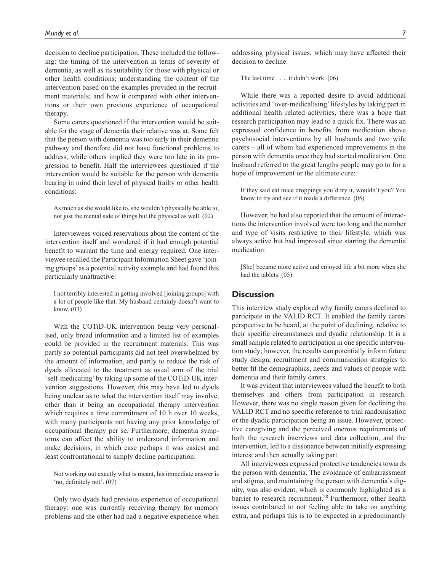decision to decline participation. These included the following: the timing of the intervention in terms of severity of dementia, as well as its suitability for those with physical or other health conditions; understanding the content of the intervention based on the examples provided in the recruitment materials; and how it compared with other interventions or their own previous experience of occupational therapy.

Some carers questioned if the intervention would be suitable for the stage of dementia their relative was at. Some felt that the person with dementia was too early in their dementia pathway and therefore did not have functional problems to address, while others implied they were too late in its progression to benefit. Half the interviewees questioned if the intervention would be suitable for the person with dementia bearing in mind their level of physical frailty or other health conditions:

As much as she would like to, she wouldn't physically be able to, not just the mental side of things but the physical as well. (02)

Interviewees voiced reservations about the content of the intervention itself and wondered if it had enough potential benefit to warrant the time and energy required. One interviewee recalled the Participant Information Sheet gave 'joining groups' as a potential activity example and had found this particularly unattractive:

I not terribly interested in getting involved [joining groups] with a lot of people like that. My husband certainly doesn't want to know. (03)

With the COTiD-UK intervention being very personalised, only broad information and a limited list of examples could be provided in the recruitment materials. This was partly so potential participants did not feel overwhelmed by the amount of information, and partly to reduce the risk of dyads allocated to the treatment as usual arm of the trial 'self-medicating' by taking up some of the COTiD-UK intervention suggestions. However, this may have led to dyads being unclear as to what the intervention itself may involve, other than it being an occupational therapy intervention which requires a time commitment of 10 h over 10 weeks, with many participants not having any prior knowledge of occupational therapy per se. Furthermore, dementia symptoms can affect the ability to understand information and make decisions, in which case perhaps it was easiest and least confrontational to simply decline participation:

Not working out exactly what is meant, his immediate answer is 'no, definitely not'. (07)

Only two dyads had previous experience of occupational therapy: one was currently receiving therapy for memory problems and the other had had a negative experience when addressing physical issues, which may have affected their decision to decline:

The last time . . .. it didn't work. (06)

While there was a reported desire to avoid additional activities and 'over-medicalising' lifestyles by taking part in additional health related activities, there was a hope that research participation may lead to a quick fix. There was an expressed confidence in benefits from medication above psychosocial interventions by all husbands and two wife carers – all of whom had experienced improvements in the person with dementia once they had started medication. One husband referred to the great lengths people may go to for a hope of improvement or the ultimate cure:

If they said eat mice droppings you'd try it, wouldn't you? You know to try and see if it made a difference. (05)

However, he had also reported that the amount of interactions the intervention involved were too long and the number and type of visits restrictive to their lifestyle, which was always active but had improved since starting the dementia medication:

[She] became more active and enjoyed life a bit more when she had the tablets. (05)

# **Discussion**

This interview study explored why family carers declined to participate in the VALID RCT. It enabled the family carers perspective to be heard, at the point of declining, relative to their specific circumstances and dyadic relationship. It is a small sample related to participation in one specific intervention study; however, the results can potentially inform future study design, recruitment and communication strategies to better fit the demographics, needs and values of people with dementia and their family carers.

It was evident that interviewees valued the benefit to both themselves and others from participation in research. However, there was no single reason given for declining the VALID RCT and no specific reference to trial randomisation or the dyadic participation being an issue. However, protective caregiving and the perceived onerous requirements of both the research interviews and data collection, and the intervention, led to a dissonance between initially expressing interest and then actually taking part.

All interviewees expressed protective tendencies towards the person with dementia. The avoidance of embarrassment and stigma, and maintaining the person with dementia's dignity, was also evident, which is commonly highlighted as a barrier to research recruitment.<sup>28</sup> Furthermore, other health issues contributed to not feeling able to take on anything extra, and perhaps this is to be expected in a predominantly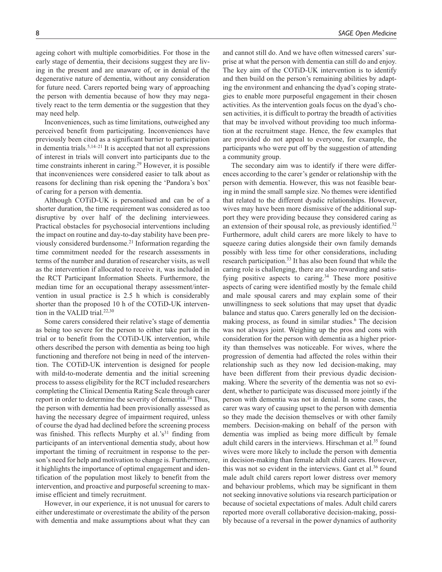ageing cohort with multiple comorbidities. For those in the early stage of dementia, their decisions suggest they are living in the present and are unaware of, or in denial of the degenerative nature of dementia, without any consideration for future need. Carers reported being wary of approaching the person with dementia because of how they may negatively react to the term dementia or the suggestion that they may need help.

Inconveniences, such as time limitations, outweighed any perceived benefit from participating. Inconveniences have previously been cited as a significant barrier to participation in dementia trials.<sup>5,14–21</sup> It is accepted that not all expressions of interest in trials will convert into participants due to the time constraints inherent in caring.<sup>29</sup> However, it is possible that inconveniences were considered easier to talk about as reasons for declining than risk opening the 'Pandora's box' of caring for a person with dementia.

Although COTiD-UK is personalised and can be of a shorter duration, the time requirement was considered as too disruptive by over half of the declining interviewees. Practical obstacles for psychosocial interventions including the impact on routine and day-to-day stability have been previously considered burdensome.21 Information regarding the time commitment needed for the research assessments in terms of the number and duration of researcher visits, as well as the intervention if allocated to receive it, was included in the RCT Participant Information Sheets. Furthermore, the median time for an occupational therapy assessment/intervention in usual practice is 2.5 h which is considerably shorter than the proposed 10 h of the COTiD-UK intervention in the VALID trial.<sup>22,30</sup>

Some carers considered their relative's stage of dementia as being too severe for the person to either take part in the trial or to benefit from the COTiD-UK intervention, while others described the person with dementia as being too high functioning and therefore not being in need of the intervention. The COTiD-UK intervention is designed for people with mild-to-moderate dementia and the initial screening process to assess eligibility for the RCT included researchers completing the Clinical Dementia Rating Scale through carer report in order to determine the severity of dementia.<sup>24</sup> Thus, the person with dementia had been provisionally assessed as having the necessary degree of impairment required, unless of course the dyad had declined before the screening process was finished. This reflects Murphy et al.'s<sup>31</sup> finding from participants of an interventional dementia study, about how important the timing of recruitment in response to the person's need for help and motivation to change is. Furthermore, it highlights the importance of optimal engagement and identification of the population most likely to benefit from the intervention, and proactive and purposeful screening to maximise efficient and timely recruitment.

However, in our experience, it is not unusual for carers to either underestimate or overestimate the ability of the person with dementia and make assumptions about what they can and cannot still do. And we have often witnessed carers' surprise at what the person with dementia can still do and enjoy. The key aim of the COTiD-UK intervention is to identify and then build on the person's remaining abilities by adapting the environment and enhancing the dyad's coping strategies to enable more purposeful engagement in their chosen activities. As the intervention goals focus on the dyad's chosen activities, it is difficult to portray the breadth of activities that may be involved without providing too much information at the recruitment stage. Hence, the few examples that are provided do not appeal to everyone, for example, the participants who were put off by the suggestion of attending a community group.

The secondary aim was to identify if there were differences according to the carer's gender or relationship with the person with dementia. However, this was not feasible bearing in mind the small sample size. No themes were identified that related to the different dyadic relationships. However, wives may have been more dismissive of the additional support they were providing because they considered caring as an extension of their spousal role, as previously identified. $32$ Furthermore, adult child carers are more likely to have to squeeze caring duties alongside their own family demands possibly with less time for other considerations, including research participation.<sup>33</sup> It has also been found that while the caring role is challenging, there are also rewarding and satisfying positive aspects to caring.<sup>34</sup> These more positive aspects of caring were identified mostly by the female child and male spousal carers and may explain some of their unwillingness to seek solutions that may upset that dyadic balance and status quo. Carers generally led on the decisionmaking process, as found in similar studies.<sup>6</sup> The decision was not always joint. Weighing up the pros and cons with consideration for the person with dementia as a higher priority than themselves was noticeable. For wives, where the progression of dementia had affected the roles within their relationship such as they now led decision-making, may have been different from their previous dyadic decisionmaking. Where the severity of the dementia was not so evident, whether to participate was discussed more jointly if the person with dementia was not in denial. In some cases, the carer was wary of causing upset to the person with dementia so they made the decision themselves or with other family members. Decision-making on behalf of the person with dementia was implied as being more difficult by female adult child carers in the interviews. Hirschman et al.<sup>35</sup> found wives were more likely to include the person with dementia in decision-making than female adult child carers. However, this was not so evident in the interviews. Gant et al. $36$  found male adult child carers report lower distress over memory and behaviour problems, which may be significant in them not seeking innovative solutions via research participation or because of societal expectations of males. Adult child carers reported more overall collaborative decision-making, possibly because of a reversal in the power dynamics of authority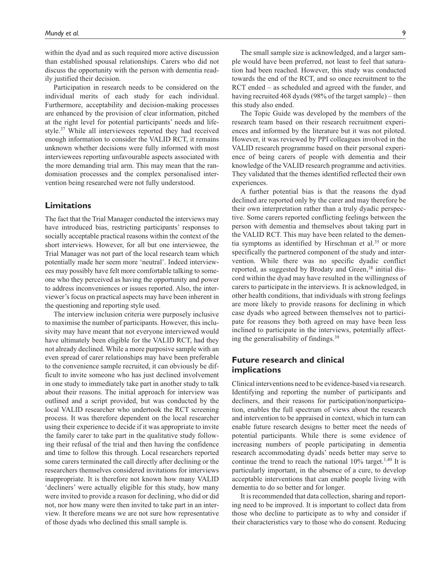within the dyad and as such required more active discussion than established spousal relationships. Carers who did not discuss the opportunity with the person with dementia readily justified their decision.

Participation in research needs to be considered on the individual merits of each study for each individual. Furthermore, acceptability and decision-making processes are enhanced by the provision of clear information, pitched at the right level for potential participants' needs and lifestyle.37 While all interviewees reported they had received enough information to consider the VALID RCT, it remains unknown whether decisions were fully informed with most interviewees reporting unfavourable aspects associated with the more demanding trial arm. This may mean that the randomisation processes and the complex personalised intervention being researched were not fully understood.

# **Limitations**

The fact that the Trial Manager conducted the interviews may have introduced bias, restricting participants' responses to socially acceptable practical reasons within the context of the short interviews. However, for all but one interviewee, the Trial Manager was not part of the local research team which potentially made her seem more 'neutral'. Indeed interviewees may possibly have felt more comfortable talking to someone who they perceived as having the opportunity and power to address inconveniences or issues reported. Also, the interviewer's focus on practical aspects may have been inherent in the questioning and reporting style used.

The interview inclusion criteria were purposely inclusive to maximise the number of participants. However, this inclusivity may have meant that not everyone interviewed would have ultimately been eligible for the VALID RCT, had they not already declined. While a more purposive sample with an even spread of carer relationships may have been preferable to the convenience sample recruited, it can obviously be difficult to invite someone who has just declined involvement in one study to immediately take part in another study to talk about their reasons. The initial approach for interview was outlined and a script provided, but was conducted by the local VALID researcher who undertook the RCT screening process. It was therefore dependent on the local researcher using their experience to decide if it was appropriate to invite the family carer to take part in the qualitative study following their refusal of the trial and then having the confidence and time to follow this through. Local researchers reported some carers terminated the call directly after declining or the researchers themselves considered invitations for interviews inappropriate. It is therefore not known how many VALID 'decliners' were actually eligible for this study, how many were invited to provide a reason for declining, who did or did not, nor how many were then invited to take part in an interview. It therefore means we are not sure how representative of those dyads who declined this small sample is.

The small sample size is acknowledged, and a larger sample would have been preferred, not least to feel that saturation had been reached. However, this study was conducted towards the end of the RCT, and so once recruitment to the RCT ended – as scheduled and agreed with the funder, and having recruited 468 dyads (98% of the target sample) – then this study also ended.

The Topic Guide was developed by the members of the research team based on their research recruitment experiences and informed by the literature but it was not piloted. However, it was reviewed by PPI colleagues involved in the VALID research programme based on their personal experience of being carers of people with dementia and their knowledge of the VALID research programme and activities. They validated that the themes identified reflected their own experiences.

A further potential bias is that the reasons the dyad declined are reported only by the carer and may therefore be their own interpretation rather than a truly dyadic perspective. Some carers reported conflicting feelings between the person with dementia and themselves about taking part in the VALID RCT. This may have been related to the dementia symptoms as identified by Hirschman et al. $35$  or more specifically the partnered component of the study and intervention. While there was no specific dyadic conflict reported, as suggested by Brodaty and Green,<sup>38</sup> initial discord within the dyad may have resulted in the willingness of carers to participate in the interviews. It is acknowledged, in other health conditions, that individuals with strong feelings are more likely to provide reasons for declining in which case dyads who agreed between themselves not to participate for reasons they both agreed on may have been less inclined to participate in the interviews, potentially affecting the generalisability of findings.39

# **Future research and clinical implications**

Clinical interventions need to be evidence-based via research. Identifying and reporting the number of participants and decliners, and their reasons for participation/nonparticipation, enables the full spectrum of views about the research and intervention to be appraised in context, which in turn can enable future research designs to better meet the needs of potential participants. While there is some evidence of increasing numbers of people participating in dementia research accommodating dyads' needs better may serve to continue the trend to reach the national  $10\%$  target.<sup>1,40</sup> It is particularly important, in the absence of a cure, to develop acceptable interventions that can enable people living with dementia to do so better and for longer.

It is recommended that data collection, sharing and reporting need to be improved. It is important to collect data from those who decline to participate as to why and consider if their characteristics vary to those who do consent. Reducing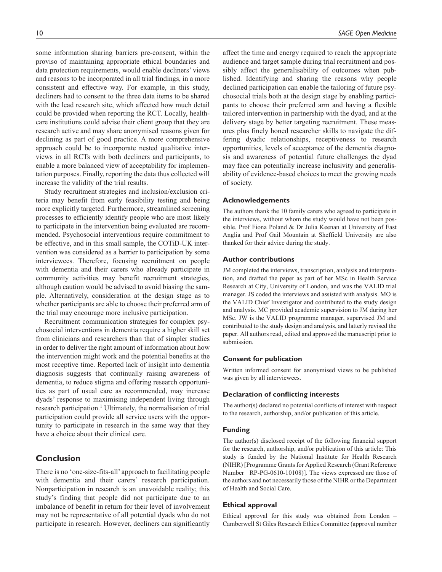consistent and effective way. For example, in this study, decliners had to consent to the three data items to be shared with the lead research site, which affected how much detail could be provided when reporting the RCT. Locally, healthcare institutions could advise their client group that they are research active and may share anonymised reasons given for declining as part of good practice. A more comprehensive approach could be to incorporate nested qualitative interviews in all RCTs with both decliners and participants, to enable a more balanced view of acceptability for implementation purposes. Finally, reporting the data thus collected will increase the validity of the trial results.

Study recruitment strategies and inclusion/exclusion criteria may benefit from early feasibility testing and being more explicitly targeted. Furthermore, streamlined screening processes to efficiently identify people who are most likely to participate in the intervention being evaluated are recommended. Psychosocial interventions require commitment to be effective, and in this small sample, the COTiD-UK intervention was considered as a barrier to participation by some interviewees. Therefore, focusing recruitment on people with dementia and their carers who already participate in community activities may benefit recruitment strategies, although caution would be advised to avoid biasing the sample. Alternatively, consideration at the design stage as to whether participants are able to choose their preferred arm of the trial may encourage more inclusive participation.

Recruitment communication strategies for complex psychosocial interventions in dementia require a higher skill set from clinicians and researchers than that of simpler studies in order to deliver the right amount of information about how the intervention might work and the potential benefits at the most receptive time. Reported lack of insight into dementia diagnosis suggests that continually raising awareness of dementia, to reduce stigma and offering research opportunities as part of usual care as recommended, may increase dyads' response to maximising independent living through research participation.<sup>1</sup> Ultimately, the normalisation of trial participation could provide all service users with the opportunity to participate in research in the same way that they have a choice about their clinical care.

# **Conclusion**

There is no 'one-size-fits-all' approach to facilitating people with dementia and their carers' research participation. Nonparticipation in research is an unavoidable reality; this study's finding that people did not participate due to an imbalance of benefit in return for their level of involvement may not be representative of all potential dyads who do not participate in research. However, decliners can significantly affect the time and energy required to reach the appropriate audience and target sample during trial recruitment and possibly affect the generalisability of outcomes when published. Identifying and sharing the reasons why people declined participation can enable the tailoring of future psychosocial trials both at the design stage by enabling participants to choose their preferred arm and having a flexible tailored intervention in partnership with the dyad, and at the delivery stage by better targeting recruitment. These measures plus finely honed researcher skills to navigate the differing dyadic relationships, receptiveness to research opportunities, levels of acceptance of the dementia diagnosis and awareness of potential future challenges the dyad may face can potentially increase inclusivity and generalisability of evidence-based choices to meet the growing needs of society.

### **Acknowledgements**

The authors thank the 10 family carers who agreed to participate in the interviews, without whom the study would have not been possible. Prof Fiona Poland & Dr Julia Keenan at University of East Anglia and Prof Gail Mountain at Sheffield University are also thanked for their advice during the study.

#### **Author contributions**

JM completed the interviews, transcription, analysis and interpretation, and drafted the paper as part of her MSc in Health Service Research at City, University of London, and was the VALID trial manager. JS coded the interviews and assisted with analysis. MO is the VALID Chief Investigator and contributed to the study design and analysis. MC provided academic supervision to JM during her MSc. JW is the VALID programme manager, supervised JM and contributed to the study design and analysis, and latterly revised the paper. All authors read, edited and approved the manuscript prior to submission.

### **Consent for publication**

Written informed consent for anonymised views to be published was given by all interviewees.

### **Declaration of conflicting interests**

The author(s) declared no potential conflicts of interest with respect to the research, authorship, and/or publication of this article.

### **Funding**

The author(s) disclosed receipt of the following financial support for the research, authorship, and/or publication of this article: This study is funded by the National Institute for Health Research (NIHR) [Programme Grants for Applied Research (Grant Reference Number RP-PG-0610-10108)]. The views expressed are those of the authors and not necessarily those of the NIHR or the Department of Health and Social Care.

### **Ethical approval**

Ethical approval for this study was obtained from London – Camberwell St Giles Research Ethics Committee (approval number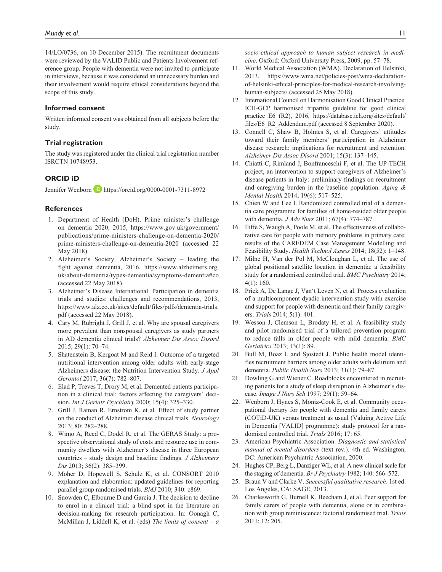14/LO/0736, on 10 December 2015). The recruitment documents were reviewed by the VALID Public and Patients Involvement reference group. People with dementia were not invited to participate in interviews, because it was considered an unnecessary burden and their involvement would require ethical considerations beyond the scope of this study.

#### **Informed consent**

Written informed consent was obtained from all subjects before the study.

### **Trial registration**

The study was registered under the clinical trial registration number ISRCTN 10748953.

### **ORCID iD**

Jennifer Wenborn D <https://orcid.org/0000-0001-7311-8972>

#### **References**

- 1. Department of Health (DoH). Prime minister's challenge on dementia 2020, 2015, [https://www.gov.uk/government/](https://www.gov.uk/government/publications/prime-ministers-challenge-on-dementia-2020/prime-ministers-challenge-on-dementia-2020) [publications/prime-ministers-challenge-on-dementia-2020/](https://www.gov.uk/government/publications/prime-ministers-challenge-on-dementia-2020/prime-ministers-challenge-on-dementia-2020) [prime-ministers-challenge-on-dementia-2020](https://www.gov.uk/government/publications/prime-ministers-challenge-on-dementia-2020/prime-ministers-challenge-on-dementia-2020) (accessed 22 May 2018).
- 2. Alzheimer's Society. Alzheimer's Society leading the fight against dementia, 2016, [https://www.alzheimers.org.](https://www.alzheimers.org.uk/about-dementia/types-dementia/symptoms-dementia#co) [uk/about-dementia/types-dementia/symptoms-dementia#co](https://www.alzheimers.org.uk/about-dementia/types-dementia/symptoms-dementia#co) (accessed 22 May 2018).
- 3. Alzheimer's Disease International. Participation in dementia trials and studies: challenges and recommendations, 2013, [https://www.alz.co.uk/sites/default/files/pdfs/dementia-trials.](https://www.alz.co.uk/sites/default/files/pdfs/dementia-trials.pdf) [pdf](https://www.alz.co.uk/sites/default/files/pdfs/dementia-trials.pdf) (accessed 22 May 2018).
- 4. Cary M, Rubright J, Grill J, et al. Why are spousal caregivers more prevalent than nonspousal caregivers as study partners in AD dementia clinical trials? *Alzheimer Dis Assoc Disord* 2015; 29(1): 70–74.
- 5. Shatenstein B, Kergoat M and Reid I. Outcome of a targeted nutritional intervention among older adults with early-stage Alzheimers disease: the Nutrition Intervention Study. *J Appl Gerontol* 2017; 36(7): 782–807.
- 6. Elad P, Treves T, Drory M, et al. Demented patients participation in a clinical trial: factors affecting the caregivers' decision. *Int J Geriatr Psychiatry* 2000; 15(4): 325–330.
- 7. Grill J, Raman R, Ernstrom K, et al. Effect of study partner on the conduct of Alzheimer disease clinical trials. *Neurology* 2013; 80: 282–288.
- 8. Wimo A, Reed C, Dodel R, et al. The GERAS Study: a prospective observational study of costs and resource use in community dwellers with Alzheimer's disease in three European countries – study design and baseline findings. *J Alzheimers Dis* 2013; 36(2): 385–399.
- 9. Moher D, Hopewell S, Schulz K, et al. CONSORT 2010 explanation and elaboration: updated guidelines for reporting parallel group randomised trials. *BMJ* 2010; 340: c869.
- 10. Snowden C, Elbourne D and Garcia J. The decision to decline to enrol in a clinical trial: a blind spot in the literature on decision-making for research participation. In: Oonagh C, McMillan J, Liddell K, et al. (eds) *The limits of consent – a*

*socio-ethical approach to human subject research in medicine*. Oxford: Oxford University Press, 2009, pp. 57–78.

- 11. World Medical Association (WMA). Declaration of Helsinki, 2013, [https://www.wma.net/policies-post/wma-declaration](https://www.wma.net/policies-post/wma-declaration-of-helsinki-ethical-principles-for-medical-research-involving-human-subjects/)[of-helsinki-ethical-principles-for-medical-research-involving](https://www.wma.net/policies-post/wma-declaration-of-helsinki-ethical-principles-for-medical-research-involving-human-subjects/)[human-subjects/](https://www.wma.net/policies-post/wma-declaration-of-helsinki-ethical-principles-for-medical-research-involving-human-subjects/) (accessed 25 May 2018).
- 12. International Council on Harmonisation Good Clinical Practice. ICH-GCP harmonised tripartite guideline for good clinical practice E6 (R2), 2016, [https://database.ich.org/sites/default/](https://database.ich.org/sites/default/files/E6_R2_Addendum.pdf) [files/E6\\_R2\\_Addendum.pdf](https://database.ich.org/sites/default/files/E6_R2_Addendum.pdf) (accessed 8 September 2020).
- 13. Connell C, Shaw B, Holmes S, et al. Caregivers' attitudes toward their family members' participation in Alzheimer disease research: implications for recruitment and retention. *Alzheimer Dis Assoc Disord* 2001; 15(3): 137–145.
- 14. Chiatti C, Rimland J, Bonfranceschi F, et al. The UP-TECH project, an intervention to support caregivers of Alzheimer's disease patients in Italy: preliminary findings on recruitment and caregiving burden in the baseline population. *Aging & Mental Health* 2014; 19(6): 517–525.
- 15. Chien W and Lee I. Randomized controlled trial of a dementia care programme for families of home-resided older people with dementia. *J Adv Nurs* 2011; 67(4): 774–787.
- 16. Iliffe S, Waugh A, Poole M, et al. The effectiveness of collaborative care for people with memory problems in primary care: results of the CAREDEM Case Management Modelling and Feasibility Study. *Health Technol Assess* 2014; 18(52): 1–148.
- 17. Milne H, Van der Pol M, McCloughan L, et al. The use of global positional satellite location in dementia: a feasibility study for a randomised controlled trial. *BMC Psychiatry* 2014; 4(1): 160.
- 18. Prick A, De Lange J, Van't Leven N, et al. Process evaluation of a multicomponent dyadic intervention study with exercise and support for people with dementia and their family caregivers. *Trials* 2014; 5(1): 401.
- 19. Wesson J, Clemson L, Brodaty H, et al. A feasibility study and pilot randomised trial of a tailored prevention program to reduce falls in older people with mild dementia. *BMC Geriatrics* 2013; 13(1): 89.
- 20. Bull M, Boaz L and Sjostedt J. Public health model identifies recruitment barriers among older adults with delirium and dementia. *Public Health Nurs* 2013; 31(1): 79–87.
- 21. Dowling G and Wiener C. Roadblocks encountered in recruiting patients for a study of sleep disruption in Alzheimer's disease. *Image J Nurs Sch* 1997; 29(1): 59–64.
- 22. Wenborn J, Hynes S, Moniz-Cook E, et al. Community occupational therapy for people with dementia and family carers (COTiD-UK) versus treatment as usual (Valuing Active Life in Dementia [VALID] programme): study protocol for a randomised controlled trial. *Trials* 2016; 17: 65.
- 23. American Psychiatric Association. *Diagnostic and statistical manual of mental disorders* (text rev.). 4th ed. Washington, DC: American Psychiatric Association, 2000.
- 24. Hughes CP, Berg L, Danziger WL, et al. A new clinical scale for the staging of dementia. *Br J Psychiatry* 1982; 140: 566–572.
- 25. Braun V and Clarke V. *Successful qualitative research*. 1st ed. Los Angeles, CA: SAGE, 2013.
- 26. Charlesworth G, Burnell K, Beecham J, et al. Peer support for family carers of people with dementia, alone or in combination with group reminiscence: factorial randomised trial. *Trials* 2011; 12: 205.